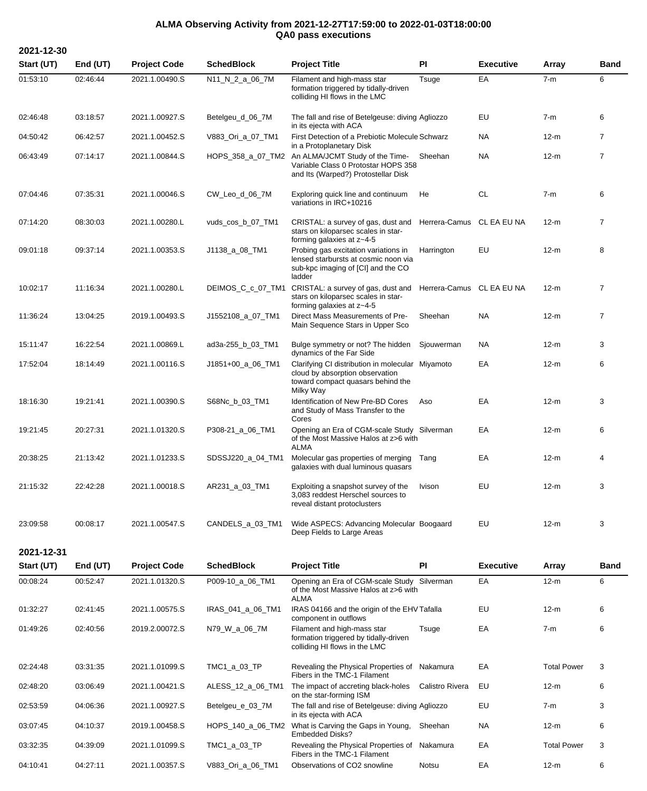## **ALMA Observing Activity from 2021-12-27T17:59:00 to 2022-01-03T18:00:00 QA0 pass executions**

| 2021-12-30 |          |                     |                     |                                                                                                                                       |                           |                  |        |                |
|------------|----------|---------------------|---------------------|---------------------------------------------------------------------------------------------------------------------------------------|---------------------------|------------------|--------|----------------|
| Start (UT) | End (UT) | <b>Project Code</b> | <b>SchedBlock</b>   | <b>Project Title</b>                                                                                                                  | <b>PI</b>                 | <b>Executive</b> | Array  | <b>Band</b>    |
| 01:53:10   | 02:46:44 | 2021.1.00490.S      | N11_N_2_a_06_7M     | Filament and high-mass star<br>formation triggered by tidally-driven<br>colliding HI flows in the LMC                                 | Tsuge                     | EA               | $7-m$  | 6              |
| 02:46:48   | 03:18:57 | 2021.1.00927.S      | Betelgeu_d_06_7M    | The fall and rise of Betelgeuse: diving Agliozzo<br>in its ejecta with ACA                                                            |                           | EU               | $7-m$  | 6              |
| 04:50:42   | 06:42:57 | 2021.1.00452.S      | V883_Ori_a_07_TM1   | First Detection of a Prebiotic Molecule Schwarz<br>in a Protoplanetary Disk                                                           |                           | <b>NA</b>        | $12-m$ | $\overline{7}$ |
| 06:43:49   | 07:14:17 | 2021.1.00844.S      |                     | HOPS_358_a_07_TM2 An ALMA/JCMT Study of the Time-<br>Variable Class 0 Protostar HOPS 358<br>and Its (Warped?) Protostellar Disk       | Sheehan                   | <b>NA</b>        | $12-m$ | $\overline{7}$ |
| 07:04:46   | 07:35:31 | 2021.1.00046.S      | CW_Leo_d_06_7M      | Exploring quick line and continuum<br>variations in IRC+10216                                                                         | He                        | <b>CL</b>        | $7-m$  | 6              |
| 07:14:20   | 08:30:03 | 2021.1.00280.L      | vuds_cos_b_07_TM1   | CRISTAL: a survey of gas, dust and<br>stars on kiloparsec scales in star-<br>forming galaxies at z~4-5                                | Herrera-Camus CL EA EU NA |                  | 12-m   | $\overline{7}$ |
| 09:01:18   | 09:37:14 | 2021.1.00353.S      | J1138_a_08_TM1      | Probing gas excitation variations in<br>lensed starbursts at cosmic noon via<br>sub-kpc imaging of [CI] and the CO<br>ladder          | Harrington                | EU               | $12-m$ | 8              |
| 10:02:17   | 11:16:34 | 2021.1.00280.L      | DEIMOS_C_c_07_TM1   | CRISTAL: a survey of gas, dust and<br>stars on kiloparsec scales in star-<br>forming galaxies at z~4-5                                | Herrera-Camus CL EA EU NA |                  | $12-m$ | $\overline{7}$ |
| 11:36:24   | 13:04:25 | 2019.1.00493.S      | J1552108_a_07_TM1   | Direct Mass Measurements of Pre-<br>Main Sequence Stars in Upper Sco                                                                  | Sheehan                   | <b>NA</b>        | $12-m$ | $\overline{7}$ |
| 15:11:47   | 16:22:54 | 2021.1.00869.L      | ad3a-255_b_03_TM1   | Bulge symmetry or not? The hidden<br>dynamics of the Far Side                                                                         | Sjouwerman                | <b>NA</b>        | $12-m$ | 3              |
| 17:52:04   | 18:14:49 | 2021.1.00116.S      | $J1851+00$ a 06 TM1 | Clarifying CI distribution in molecular Miyamoto<br>cloud by absorption observation<br>toward compact quasars behind the<br>Milky Way |                           | EA               | $12-m$ | 6              |
| 18:16:30   | 19:21:41 | 2021.1.00390.S      | S68Nc b 03 TM1      | Identification of New Pre-BD Cores<br>and Study of Mass Transfer to the<br>Cores                                                      | Aso                       | EA               | $12-m$ | 3              |
| 19:21:45   | 20:27:31 | 2021.1.01320.S      | P308-21_a_06_TM1    | Opening an Era of CGM-scale Study Silverman<br>of the Most Massive Halos at z>6 with<br><b>ALMA</b>                                   |                           | EA               | $12-m$ | 6              |
| 20:38:25   | 21:13:42 | 2021.1.01233.S      | SDSSJ220_a_04_TM1   | Molecular gas properties of merging<br>galaxies with dual luminous quasars                                                            | Tang                      | EA               | $12-m$ | 4              |
| 21:15:32   | 22:42:28 | 2021.1.00018.S      | AR231_a_03_TM1      | Exploiting a snapshot survey of the<br>3,083 reddest Herschel sources to<br>reveal distant protoclusters                              | <b>Ivison</b>             | EU               | $12-m$ | 3              |
| 23:09:58   | 00:08:17 | 2021.1.00547.S      | CANDELS_a_03_TM1    | Wide ASPECS: Advancing Molecular Boogaard<br>Deep Fields to Large Areas                                                               |                           | EU               | $12-m$ | 3              |

**2021-12-31**

| Start (UT) | End $(UT)$ | <b>Project Code</b> | <b>SchedBlock</b> | <b>Project Title</b>                                                                                  | PI              | <b>Executive</b> | Array              | <b>Band</b> |
|------------|------------|---------------------|-------------------|-------------------------------------------------------------------------------------------------------|-----------------|------------------|--------------------|-------------|
| 00:08:24   | 00:52:47   | 2021.1.01320.S      | P009-10_a_06_TM1  | Opening an Era of CGM-scale Study Silverman<br>of the Most Massive Halos at z>6 with<br>ALMA          |                 | EA               | $12-m$             | 6           |
| 01:32:27   | 02:41:45   | 2021.1.00575.S      | IRAS_041_a_06_TM1 | IRAS 04166 and the origin of the EHV Tafalla<br>component in outflows                                 |                 | EU               | $12-m$             | 6           |
| 01:49:26   | 02:40:56   | 2019.2.00072.S      | N79 W a 06 7M     | Filament and high-mass star<br>formation triggered by tidally-driven<br>colliding HI flows in the LMC | Tsuge           | EA               | $7-m$              | 6           |
| 02:24:48   | 03:31:35   | 2021.1.01099.S      | TMC1_a_03_TP      | Revealing the Physical Properties of Nakamura<br>Fibers in the TMC-1 Filament                         |                 | EA               | <b>Total Power</b> | 3           |
| 02:48:20   | 03:06:49   | 2021.1.00421.S      | ALESS_12_a_06_TM1 | The impact of accreting black-holes<br>on the star-forming ISM                                        | Calistro Rivera | EU               | $12-m$             | 6           |
| 02:53:59   | 04:06:36   | 2021.1.00927.S      | Betelgeu e 03_7M  | The fall and rise of Betelgeuse: diving Agliozzo<br>in its ejecta with ACA                            |                 | EU               | $7-m$              | 3           |
| 03:07:45   | 04:10:37   | 2019.1.00458.S      | HOPS 140 a 06 TM2 | What is Carving the Gaps in Young,<br><b>Embedded Disks?</b>                                          | Sheehan         | <b>NA</b>        | $12-m$             | 6           |
| 03:32:35   | 04:39:09   | 2021.1.01099.S      | TMC1_a_03_TP      | Revealing the Physical Properties of<br>Fibers in the TMC-1 Filament                                  | Nakamura        | EA               | <b>Total Power</b> | 3           |
| 04:10:41   | 04:27:11   | 2021.1.00357.S      | V883 Ori a 06 TM1 | Observations of CO2 snowline                                                                          | <b>Notsu</b>    | EA               | $12-m$             | 6           |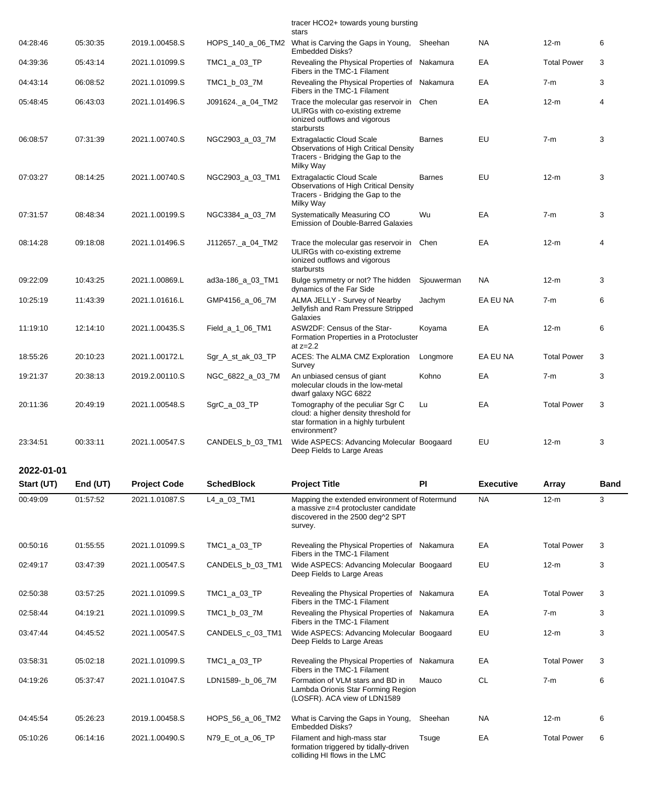|            |          |                     |                   | tracer HCO2+ towards young bursting<br>stars                                                                                         |               |                  |                    |             |
|------------|----------|---------------------|-------------------|--------------------------------------------------------------------------------------------------------------------------------------|---------------|------------------|--------------------|-------------|
| 04:28:46   | 05:30:35 | 2019.1.00458.S      | HOPS_140_a_06_TM2 | What is Carving the Gaps in Young,<br><b>Embedded Disks?</b>                                                                         | Sheehan       | <b>NA</b>        | $12-m$             | 6           |
| 04:39:36   | 05:43:14 | 2021.1.01099.S      | TMC1_a_03_TP      | Revealing the Physical Properties of Nakamura<br>Fibers in the TMC-1 Filament                                                        |               | EA               | <b>Total Power</b> | 3           |
| 04:43:14   | 06:08:52 | 2021.1.01099.S      | TMC1_b_03_7M      | Revealing the Physical Properties of Nakamura<br>Fibers in the TMC-1 Filament                                                        |               | EA               | $7-m$              | 3           |
| 05:48:45   | 06:43:03 | 2021.1.01496.S      | J091624._a_04_TM2 | Trace the molecular gas reservoir in Chen<br>ULIRGs with co-existing extreme<br>ionized outflows and vigorous<br>starbursts          |               | EA               | 12-m               | 4           |
| 06:08:57   | 07:31:39 | 2021.1.00740.S      | NGC2903_a_03_7M   | <b>Extragalactic Cloud Scale</b><br>Observations of High Critical Density<br>Tracers - Bridging the Gap to the<br>Milky Way          | <b>Barnes</b> | EU               | $7-m$              | 3           |
| 07:03:27   | 08:14:25 | 2021.1.00740.S      | NGC2903_a_03_TM1  | <b>Extragalactic Cloud Scale</b><br><b>Observations of High Critical Density</b><br>Tracers - Bridging the Gap to the<br>Milky Way   | <b>Barnes</b> | EU               | $12-m$             | 3           |
| 07:31:57   | 08:48:34 | 2021.1.00199.S      | NGC3384_a_03_7M   | Systematically Measuring CO<br>Emission of Double-Barred Galaxies                                                                    | Wu            | EA               | $7-m$              | 3           |
| 08:14:28   | 09:18:08 | 2021.1.01496.S      | J112657. a 04 TM2 | Trace the molecular gas reservoir in<br>ULIRGs with co-existing extreme<br>ionized outflows and vigorous<br>starbursts               | Chen          | EA               | 12-m               | 4           |
| 09:22:09   | 10:43:25 | 2021.1.00869.L      | ad3a-186_a_03_TM1 | Bulge symmetry or not? The hidden<br>dynamics of the Far Side                                                                        | Sjouwerman    | NA.              | $12-m$             | 3           |
| 10:25:19   | 11:43:39 | 2021.1.01616.L      | GMP4156_a_06_7M   | ALMA JELLY - Survey of Nearby<br>Jellyfish and Ram Pressure Stripped<br>Galaxies                                                     | Jachym        | EA EU NA         | $7-m$              | 6           |
| 11:19:10   | 12:14:10 | 2021.1.00435.S      | Field_a_1_06_TM1  | ASW2DF: Census of the Star-<br>Formation Properties in a Protocluster<br>at $z=2.2$                                                  | Koyama        | EA               | $12-m$             | 6           |
| 18:55:26   | 20:10:23 | 2021.1.00172.L      | Sgr_A_st_ak_03_TP | ACES: The ALMA CMZ Exploration<br>Survey                                                                                             | Longmore      | EA EU NA         | <b>Total Power</b> | 3           |
| 19:21:37   | 20:38:13 | 2019.2.00110.S      | NGC_6822_a_03_7M  | An unbiased census of giant<br>molecular clouds in the low-metal<br>dwarf galaxy NGC 6822                                            | Kohno         | EA               | $7-m$              | 3           |
| 20:11:36   | 20:49:19 | 2021.1.00548.S      | SgrC_a_03_TP      | Tomography of the peculiar Sgr C<br>cloud: a higher density threshold for<br>star formation in a highly turbulent<br>environment?    | Lu            | EA               | <b>Total Power</b> | 3           |
| 23:34:51   | 00:33:11 | 2021.1.00547.S      | CANDELS_b_03_TM1  | Wide ASPECS: Advancing Molecular Boogaard<br>Deep Fields to Large Areas                                                              |               | EU               | $12-m$             | 3           |
| 2022-01-01 |          |                     |                   |                                                                                                                                      |               |                  |                    |             |
| Start (UT) | End (UT) | <b>Project Code</b> | <b>SchedBlock</b> | <b>Project Title</b>                                                                                                                 | <b>PI</b>     | <b>Executive</b> | Array              | <b>Band</b> |
| 00:49:09   | 01:57:52 | 2021.1.01087.S      | L4_a_03_TM1       | Mapping the extended environment of Rotermund<br>a massive z=4 protocluster candidate<br>discovered in the 2500 deg^2 SPT<br>survey. |               | NA.              | $12-m$             | 3           |
| 00:50:16   | 01:55:55 | 2021.1.01099.S      | TMC1_a_03_TP      | Revealing the Physical Properties of Nakamura<br>Fibers in the TMC-1 Filament                                                        |               | EA               | <b>Total Power</b> | 3           |
| 02:49:17   | 03:47:39 | 2021.1.00547.S      | CANDELS_b_03_TM1  | Wide ASPECS: Advancing Molecular Boogaard<br>Deep Fields to Large Areas                                                              |               | EU               | $12-m$             | 3           |
| 02:50:38   | 03:57:25 | 2021.1.01099.S      | TMC1_a_03_TP      | Revealing the Physical Properties of Nakamura<br>Fibers in the TMC-1 Filament                                                        |               | EA               | <b>Total Power</b> | 3           |
| 02:58:44   | 04:19:21 | 2021.1.01099.S      | TMC1_b_03_7M      | Revealing the Physical Properties of Nakamura<br>Fibers in the TMC-1 Filament                                                        |               | EA               | $7-m$              | 3           |
| 03:47:44   | 04:45:52 | 2021.1.00547.S      | CANDELS_c_03_TM1  | Wide ASPECS: Advancing Molecular Boogaard<br>Deep Fields to Large Areas                                                              |               | EU               | $12-m$             | 3           |
| 03:58:31   | 05:02:18 | 2021.1.01099.S      | TMC1_a_03_TP      | Revealing the Physical Properties of Nakamura<br>Fibers in the TMC-1 Filament                                                        |               | EA               | <b>Total Power</b> | 3           |
| 04:19:26   | 05:37:47 | 2021.1.01047.S      | LDN1589-_b_06_7M  | Formation of VLM stars and BD in<br>Lambda Orionis Star Forming Region<br>(LOSFR). ACA view of LDN1589                               | Mauco         | <b>CL</b>        | $7-m$              | 6           |
| 04:45:54   | 05:26:23 | 2019.1.00458.S      | HOPS_56_a_06_TM2  | What is Carving the Gaps in Young,<br>Embedded Disks?                                                                                | Sheehan       | NA               | $12-m$             | 6           |
| 05:10:26   | 06:14:16 | 2021.1.00490.S      | N79_E_ot_a_06_TP  | Filament and high-mass star<br>formation triggered by tidally-driven<br>colliding HI flows in the LMC                                | Tsuge         | EA               | <b>Total Power</b> | 6           |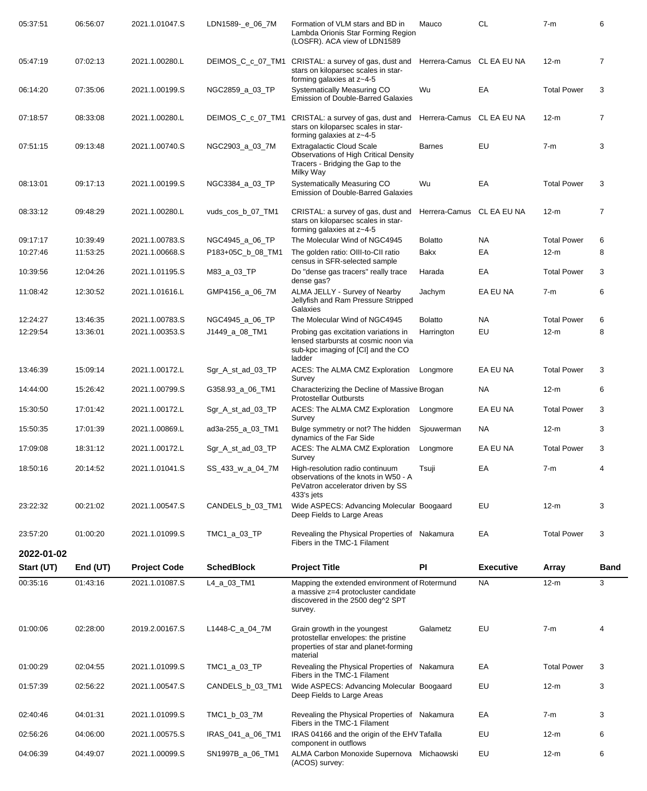| 05:37:51   | 06:56:07 | 2021.1.01047.S      | LDN1589-_e_06_7M  | Formation of VLM stars and BD in<br>Lambda Orionis Star Forming Region<br>(LOSFR). ACA view of LDN1589                               | Mauco                     | <b>CL</b>        | $7-m$              | 6              |
|------------|----------|---------------------|-------------------|--------------------------------------------------------------------------------------------------------------------------------------|---------------------------|------------------|--------------------|----------------|
| 05:47:19   | 07:02:13 | 2021.1.00280.L      | DEIMOS_C_c_07_TM1 | CRISTAL: a survey of gas, dust and<br>stars on kiloparsec scales in star-<br>forming galaxies at z~4-5                               | Herrera-Camus CL EA EU NA |                  | $12-m$             | $\overline{7}$ |
| 06:14:20   | 07:35:06 | 2021.1.00199.S      | NGC2859_a_03_TP   | Systematically Measuring CO<br><b>Emission of Double-Barred Galaxies</b>                                                             | Wu                        | EA               | <b>Total Power</b> | 3              |
| 07:18:57   | 08:33:08 | 2021.1.00280.L      | DEIMOS C c 07 TM1 | CRISTAL: a survey of gas, dust and<br>stars on kiloparsec scales in star-<br>forming galaxies at z~4-5                               | Herrera-Camus             | CL EA EU NA      | $12-m$             | 7              |
| 07:51:15   | 09:13:48 | 2021.1.00740.S      | NGC2903_a_03_7M   | <b>Extragalactic Cloud Scale</b><br><b>Observations of High Critical Density</b><br>Tracers - Bridging the Gap to the<br>Milky Way   | <b>Barnes</b>             | EU               | $7-m$              | 3              |
| 08:13:01   | 09:17:13 | 2021.1.00199.S      | NGC3384_a_03_TP   | Systematically Measuring CO<br><b>Emission of Double-Barred Galaxies</b>                                                             | Wu                        | EA               | <b>Total Power</b> | 3              |
| 08:33:12   | 09:48:29 | 2021.1.00280.L      | vuds_cos_b_07_TM1 | CRISTAL: a survey of gas, dust and<br>stars on kiloparsec scales in star-<br>forming galaxies at z~4-5                               | Herrera-Camus             | CL EA EU NA      | $12-m$             | 7              |
| 09:17:17   | 10:39:49 | 2021.1.00783.S      | NGC4945_a_06_TP   | The Molecular Wind of NGC4945                                                                                                        | <b>Bolatto</b>            | <b>NA</b>        | <b>Total Power</b> | 6              |
| 10:27:46   | 11:53:25 | 2021.1.00668.S      | P183+05C_b_08_TM1 | The golden ratio: OIII-to-CII ratio<br>census in SFR-selected sample                                                                 | Bakx                      | EA               | $12-m$             | 8              |
| 10:39:56   | 12:04:26 | 2021.1.01195.S      | M83_a_03_TP       | Do "dense gas tracers" really trace<br>dense gas?                                                                                    | Harada                    | EA               | <b>Total Power</b> | 3              |
| 11:08:42   | 12:30:52 | 2021.1.01616.L      | GMP4156_a_06_7M   | ALMA JELLY - Survey of Nearby<br>Jellyfish and Ram Pressure Stripped<br>Galaxies                                                     | Jachym                    | EA EU NA         | $7-m$              | 6              |
| 12:24:27   | 13:46:35 | 2021.1.00783.S      | NGC4945_a_06_TP   | The Molecular Wind of NGC4945                                                                                                        | <b>Bolatto</b>            | <b>NA</b>        | <b>Total Power</b> | 6              |
| 12:29:54   | 13:36:01 | 2021.1.00353.S      | J1449_a_08_TM1    | Probing gas excitation variations in<br>lensed starbursts at cosmic noon via<br>sub-kpc imaging of [CI] and the CO<br>ladder         | Harrington                | EU               | $12-m$             | 8              |
| 13:46:39   | 15:09:14 | 2021.1.00172.L      | Sgr_A_st_ad_03_TP | ACES: The ALMA CMZ Exploration<br>Survey                                                                                             | Longmore                  | EA EU NA         | <b>Total Power</b> | 3              |
| 14:44:00   | 15:26:42 | 2021.1.00799.S      | G358.93_a_06_TM1  | Characterizing the Decline of Massive Brogan<br><b>Protostellar Outbursts</b>                                                        |                           | <b>NA</b>        | $12-m$             | 6              |
| 15:30:50   | 17:01:42 | 2021.1.00172.L      | Sgr_A_st_ad_03_TP | ACES: The ALMA CMZ Exploration<br>Survey                                                                                             | Longmore                  | EA EU NA         | <b>Total Power</b> | 3              |
| 15:50:35   | 17:01:39 | 2021.1.00869.L      | ad3a-255_a_03_TM1 | Bulge symmetry or not? The hidden<br>dynamics of the Far Side                                                                        | Sjouwerman                | <b>NA</b>        | $12-m$             | 3              |
| 17:09:08   | 18:31:12 | 2021.1.00172.L      | Sgr_A_st_ad_03_TP | ACES: The ALMA CMZ Exploration<br>Survey                                                                                             | Longmore                  | EA EU NA         | <b>Total Power</b> | 3              |
| 18:50:16   | 20:14:52 | 2021.1.01041.S      | SS_433_w_a_04_7M  | High-resolution radio continuum<br>observations of the knots in W50 - A<br>PeVatron accelerator driven by SS<br>433's jets           | Tsuji                     | EA               | $7-m$              | 4              |
| 23:22:32   | 00:21:02 | 2021.1.00547.S      | CANDELS_b_03_TM1  | Wide ASPECS: Advancing Molecular Boogaard<br>Deep Fields to Large Areas                                                              |                           | EU               | $12-m$             | 3              |
| 23:57:20   | 01:00:20 | 2021.1.01099.S      | TMC1_a_03_TP      | Revealing the Physical Properties of Nakamura<br>Fibers in the TMC-1 Filament                                                        |                           | EA               | <b>Total Power</b> | 3              |
| 2022-01-02 |          |                     | <b>SchedBlock</b> |                                                                                                                                      |                           |                  |                    |                |
| Start (UT) | End (UT) | <b>Project Code</b> |                   | <b>Project Title</b>                                                                                                                 | PI                        | <b>Executive</b> | Array              | <b>Band</b>    |
| 00:35:16   | 01:43:16 | 2021.1.01087.S      | L4_a_03_TM1       | Mapping the extended environment of Rotermund<br>a massive z=4 protocluster candidate<br>discovered in the 2500 deg^2 SPT<br>survey. |                           | <b>NA</b>        | $12-m$             | 3              |
| 01:00:06   | 02:28:00 | 2019.2.00167.S      | L1448-C_a_04_7M   | Grain growth in the youngest<br>protostellar envelopes: the pristine<br>properties of star and planet-forming<br>material            | Galametz                  | EU               | $7-m$              | 4              |
| 01:00:29   | 02:04:55 | 2021.1.01099.S      | TMC1_a_03_TP      | Revealing the Physical Properties of Nakamura<br>Fibers in the TMC-1 Filament                                                        |                           | EA               | <b>Total Power</b> | 3              |
| 01:57:39   | 02:56:22 | 2021.1.00547.S      | CANDELS_b_03_TM1  | Wide ASPECS: Advancing Molecular Boogaard<br>Deep Fields to Large Areas                                                              |                           | EU               | $12-m$             | 3              |
| 02:40:46   | 04:01:31 | 2021.1.01099.S      | TMC1_b_03_7M      | Revealing the Physical Properties of Nakamura<br>Fibers in the TMC-1 Filament                                                        |                           | EA               | $7-m$              | 3              |
| 02:56:26   | 04:06:00 | 2021.1.00575.S      | IRAS_041_a_06_TM1 | IRAS 04166 and the origin of the EHV Tafalla<br>component in outflows                                                                |                           | EU               | $12-m$             | 6              |
| 04:06:39   | 04:49:07 | 2021.1.00099.S      | SN1997B_a_06_TM1  | ALMA Carbon Monoxide Supernova Michaowski<br>(ACOS) survey:                                                                          |                           | EU               | $12-m$             | 6              |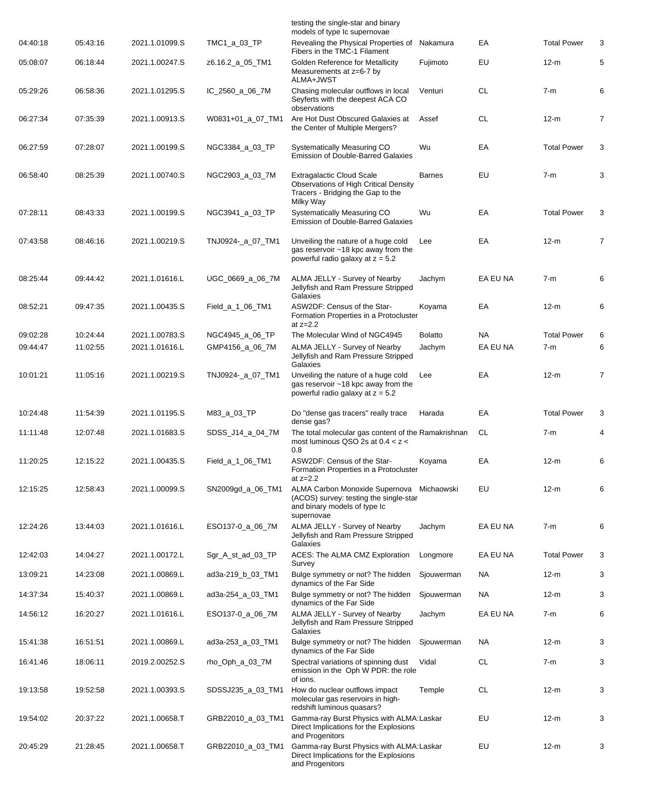|          |          |                |                   | testing the single-star and binary<br>models of type Ic supernovae                                                                 |                |           |                    |                |
|----------|----------|----------------|-------------------|------------------------------------------------------------------------------------------------------------------------------------|----------------|-----------|--------------------|----------------|
| 04:40:18 | 05:43:16 | 2021.1.01099.S | TMC1_a_03_TP      | Revealing the Physical Properties of<br>Fibers in the TMC-1 Filament                                                               | Nakamura       | ЕA        | <b>Total Power</b> | 3              |
| 05:08:07 | 06:18:44 | 2021.1.00247.S | z6.16.2_a_05_TM1  | Golden Reference for Metallicity<br>Measurements at z=6-7 by<br>ALMA+JWST                                                          | Fujimoto       | EU        | $12-m$             | 5              |
| 05:29:26 | 06:58:36 | 2021.1.01295.S | IC_2560_a_06_7M   | Chasing molecular outflows in local<br>Seyferts with the deepest ACA CO<br>observations                                            | Venturi        | <b>CL</b> | $7-m$              | 6              |
| 06:27:34 | 07:35:39 | 2021.1.00913.S | W0831+01_a_07_TM1 | Are Hot Dust Obscured Galaxies at<br>the Center of Multiple Mergers?                                                               | Assef          | <b>CL</b> | $12-m$             | $\overline{7}$ |
| 06:27:59 | 07:28:07 | 2021.1.00199.S | NGC3384_a_03_TP   | Systematically Measuring CO<br><b>Emission of Double-Barred Galaxies</b>                                                           | Wu             | ЕA        | <b>Total Power</b> | 3              |
| 06:58:40 | 08:25:39 | 2021.1.00740.S | NGC2903_a_03_7M   | <b>Extragalactic Cloud Scale</b><br><b>Observations of High Critical Density</b><br>Tracers - Bridging the Gap to the<br>Milky Way | <b>Barnes</b>  | EU        | $7-m$              | 3              |
| 07:28:11 | 08:43:33 | 2021.1.00199.S | NGC3941_a_03_TP   | Systematically Measuring CO<br><b>Emission of Double-Barred Galaxies</b>                                                           | Wu             | EA        | <b>Total Power</b> | 3              |
| 07:43:58 | 08:46:16 | 2021.1.00219.S | TNJ0924-_a_07_TM1 | Unveiling the nature of a huge cold<br>gas reservoir ~18 kpc away from the<br>powerful radio galaxy at $z = 5.2$                   | Lee            | EA        | $12-m$             | $\overline{7}$ |
| 08:25:44 | 09:44:42 | 2021.1.01616.L | UGC 0669 a 06 7M  | ALMA JELLY - Survey of Nearby<br>Jellyfish and Ram Pressure Stripped<br>Galaxies                                                   | Jachym         | EA EU NA  | $7-m$              | 6              |
| 08:52:21 | 09:47:35 | 2021.1.00435.S | Field_a_1_06_TM1  | ASW2DF: Census of the Star-<br>Formation Properties in a Protocluster<br>at $z=2.2$                                                | Koyama         | ЕA        | $12-m$             | 6              |
| 09:02:28 | 10:24:44 | 2021.1.00783.S | NGC4945_a_06_TP   | The Molecular Wind of NGC4945                                                                                                      | <b>Bolatto</b> | NA        | <b>Total Power</b> | 6              |
| 09:44:47 | 11:02:55 | 2021.1.01616.L | GMP4156_a_06_7M   | ALMA JELLY - Survey of Nearby<br>Jellyfish and Ram Pressure Stripped<br>Galaxies                                                   | Jachym         | EA EU NA  | 7-m                | 6              |
| 10:01:21 | 11:05:16 | 2021.1.00219.S | TNJ0924-_a_07_TM1 | Unveiling the nature of a huge cold<br>gas reservoir ~18 kpc away from the<br>powerful radio galaxy at $z = 5.2$                   | Lee            | EA        | $12-m$             | 7              |
| 10:24:48 | 11:54:39 | 2021.1.01195.S | M83_a_03_TP       | Do "dense gas tracers" really trace<br>dense gas?                                                                                  | Harada         | ЕA        | <b>Total Power</b> | 3              |
| 11:11:48 | 12:07:48 | 2021.1.01683.S | SDSS_J14_a_04_7M  | The total molecular gas content of the Ramakrishnan<br>most luminous QSO 2s at $0.4 < z <$<br>0.8                                  |                | CL        | $7-m$              | 4              |
| 11:20:25 | 12:15:22 | 2021.1.00435.S | Field_a_1_06_TM1  | ASW2DF: Census of the Star-<br>Formation Properties in a Protocluster<br>at $z=2.2$                                                | Koyama         | ЕA        | $12-m$             | 6              |
| 12:15:25 | 12:58:43 | 2021.1.00099.S | SN2009gd_a_06_TM1 | ALMA Carbon Monoxide Supernova Michaowski<br>(ACOS) survey: testing the single-star<br>and binary models of type Ic<br>supernovae  |                | EU        | $12-m$             | 6              |
| 12:24:26 | 13:44:03 | 2021.1.01616.L | ESO137-0_a_06_7M  | ALMA JELLY - Survey of Nearby<br>Jellyfish and Ram Pressure Stripped<br>Galaxies                                                   | Jachym         | EA EU NA  | 7-m                | 6              |
| 12:42:03 | 14:04:27 | 2021.1.00172.L | Sgr_A_st_ad_03_TP | ACES: The ALMA CMZ Exploration<br>Survey                                                                                           | Longmore       | EA EU NA  | <b>Total Power</b> | 3              |
| 13:09:21 | 14:23:08 | 2021.1.00869.L | ad3a-219_b_03_TM1 | Bulge symmetry or not? The hidden<br>dynamics of the Far Side                                                                      | Sjouwerman     | NA.       | $12-m$             | 3              |
| 14:37:34 | 15:40:37 | 2021.1.00869.L | ad3a-254_a_03_TM1 | Bulge symmetry or not? The hidden<br>dynamics of the Far Side                                                                      | Sjouwerman     | <b>NA</b> | $12-m$             | 3              |
| 14:56:12 | 16:20:27 | 2021.1.01616.L | ESO137-0_a_06_7M  | ALMA JELLY - Survey of Nearby<br>Jellyfish and Ram Pressure Stripped<br>Galaxies                                                   | Jachym         | EA EU NA  | $7-m$              | 6              |
| 15:41:38 | 16:51:51 | 2021.1.00869.L | ad3a-253_a_03_TM1 | Bulge symmetry or not? The hidden<br>dynamics of the Far Side                                                                      | Sjouwerman     | <b>NA</b> | $12-m$             | 3              |
| 16:41:46 | 18:06:11 | 2019.2.00252.S | rho_Oph_a_03_7M   | Spectral variations of spinning dust<br>emission in the Oph W PDR: the role<br>of ions.                                            | Vidal          | <b>CL</b> | 7-m                | 3              |
| 19:13:58 | 19:52:58 | 2021.1.00393.S | SDSSJ235_a_03_TM1 | How do nuclear outflows impact<br>molecular gas reservoirs in high-<br>redshift luminous quasars?                                  | Temple         | <b>CL</b> | $12-m$             | 3              |
| 19:54:02 | 20:37:22 | 2021.1.00658.T | GRB22010_a_03_TM1 | Gamma-ray Burst Physics with ALMA: Laskar<br>Direct Implications for the Explosions<br>and Progenitors                             |                | EU        | $12-m$             | 3              |
| 20:45:29 | 21:28:45 | 2021.1.00658.T | GRB22010_a_03_TM1 | Gamma-ray Burst Physics with ALMA: Laskar<br>Direct Implications for the Explosions<br>and Progenitors                             |                | EU        | $12-m$             | 3              |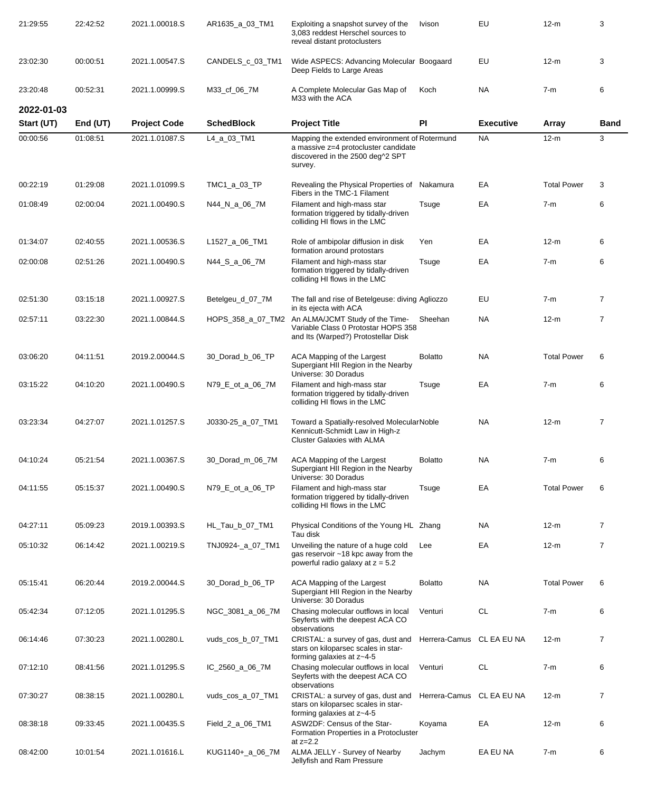| 21:29:55                 | 22:42:52             | 2021.1.00018.S                        | AR1635_a_03_TM1   | Exploiting a snapshot survey of the<br>3,083 reddest Herschel sources to<br>reveal distant protoclusters         | Ivison                    | EU               | $12-m$             | 3              |
|--------------------------|----------------------|---------------------------------------|-------------------|------------------------------------------------------------------------------------------------------------------|---------------------------|------------------|--------------------|----------------|
| 23:02:30                 | 00:00:51             | 2021.1.00547.S                        | CANDELS_c_03_TM1  | Wide ASPECS: Advancing Molecular Boogaard<br>Deep Fields to Large Areas                                          |                           | EU               | $12-m$             | 3              |
| 23:20:48                 | 00:52:31             | 2021.1.00999.S                        | M33_cf_06_7M      | A Complete Molecular Gas Map of<br>M33 with the ACA                                                              | Koch                      | <b>NA</b>        | $7-m$              | 6              |
| 2022-01-03<br>Start (UT) |                      |                                       | <b>SchedBlock</b> | <b>Project Title</b>                                                                                             | PI                        | <b>Executive</b> |                    | <b>Band</b>    |
| 00:00:56                 | End (UT)<br>01:08:51 | <b>Project Code</b><br>2021.1.01087.S | L4_a_03_TM1       | Mapping the extended environment of Rotermund                                                                    |                           | <b>NA</b>        | Array<br>$12-m$    | 3              |
|                          |                      |                                       |                   | a massive z=4 protocluster candidate<br>discovered in the 2500 deg^2 SPT<br>survey.                              |                           |                  |                    |                |
| 00:22:19                 | 01:29:08             | 2021.1.01099.S                        | TMC1_a_03_TP      | Revealing the Physical Properties of Nakamura<br>Fibers in the TMC-1 Filament                                    |                           | EA               | <b>Total Power</b> | 3              |
| 01:08:49                 | 02:00:04             | 2021.1.00490.S                        | N44_N_a_06_7M     | Filament and high-mass star<br>formation triggered by tidally-driven<br>colliding HI flows in the LMC            | Tsuge                     | EA               | $7-m$              | 6              |
| 01:34:07                 | 02:40:55             | 2021.1.00536.S                        | L1527_a_06_TM1    | Role of ambipolar diffusion in disk<br>formation around protostars                                               | Yen                       | EA               | $12-m$             | 6              |
| 02:00:08                 | 02:51:26             | 2021.1.00490.S                        | N44_S_a_06_7M     | Filament and high-mass star<br>formation triggered by tidally-driven<br>colliding HI flows in the LMC            | Tsuge                     | EA               | $7-m$              | 6              |
| 02:51:30                 | 03:15:18             | 2021.1.00927.S                        | Betelgeu_d_07_7M  | The fall and rise of Betelgeuse: diving Agliozzo<br>in its ejecta with ACA                                       |                           | EU               | $7-m$              | $\overline{7}$ |
| 02:57:11                 | 03:22:30             | 2021.1.00844.S                        | HOPS_358_a_07_TM2 | An ALMA/JCMT Study of the Time-<br>Variable Class 0 Protostar HOPS 358<br>and Its (Warped?) Protostellar Disk    | Sheehan                   | NA.              | $12-m$             | $\overline{7}$ |
| 03:06:20                 | 04:11:51             | 2019.2.00044.S                        | 30_Dorad_b_06_TP  | ACA Mapping of the Largest<br>Supergiant HII Region in the Nearby<br>Universe: 30 Doradus                        | <b>Bolatto</b>            | <b>NA</b>        | <b>Total Power</b> | 6              |
| 03:15:22                 | 04:10:20             | 2021.1.00490.S                        | N79_E_ot_a_06_7M  | Filament and high-mass star<br>formation triggered by tidally-driven<br>colliding HI flows in the LMC            | Tsuge                     | EA               | $7-m$              | 6              |
| 03:23:34                 | 04:27:07             | 2021.1.01257.S                        | J0330-25 a 07 TM1 | Toward a Spatially-resolved MolecularNoble<br>Kennicutt-Schmidt Law in High-z<br>Cluster Galaxies with ALMA      |                           | NA.              | $12-m$             | 7              |
| 04:10:24                 | 05:21:54             | 2021.1.00367.S                        | 30_Dorad_m_06_7M  | ACA Mapping of the Largest<br>Supergiant HII Region in the Nearby<br>Universe: 30 Doradus                        | <b>Bolatto</b>            | NA.              | $7-m$              | 6              |
| 04:11:55                 | 05:15:37             | 2021.1.00490.S                        | N79_E_ot_a_06_TP  | Filament and high-mass star<br>formation triggered by tidally-driven<br>colliding HI flows in the LMC            | Tsuge                     | EA               | <b>Total Power</b> | 6              |
| 04:27:11                 | 05:09:23             | 2019.1.00393.S                        | HL_Tau_b_07_TM1   | Physical Conditions of the Young HL Zhang<br>Tau disk                                                            |                           | NA.              | $12-m$             | $\overline{7}$ |
| 05:10:32                 | 06:14:42             | 2021.1.00219.S                        | TNJ0924-_a_07_TM1 | Unveiling the nature of a huge cold<br>gas reservoir ~18 kpc away from the<br>powerful radio galaxy at $z = 5.2$ | Lee                       | EA               | $12-m$             | $\overline{7}$ |
| 05:15:41                 | 06:20:44             | 2019.2.00044.S                        | 30_Dorad_b_06_TP  | ACA Mapping of the Largest<br>Supergiant HII Region in the Nearby<br>Universe: 30 Doradus                        | <b>Bolatto</b>            | NA.              | <b>Total Power</b> | 6              |
| 05:42:34                 | 07:12:05             | 2021.1.01295.S                        | NGC_3081_a_06_7M  | Chasing molecular outflows in local<br>Seyferts with the deepest ACA CO<br>observations                          | Venturi                   | CL               | $7-m$              | 6              |
| 06:14:46                 | 07:30:23             | 2021.1.00280.L                        | vuds_cos_b_07_TM1 | CRISTAL: a survey of gas, dust and<br>stars on kiloparsec scales in star-<br>forming galaxies at z~4-5           | Herrera-Camus CL EA EU NA |                  | $12-m$             | $\overline{7}$ |
| 07:12:10                 | 08:41:56             | 2021.1.01295.S                        | IC_2560_a_06_7M   | Chasing molecular outflows in local<br>Seyferts with the deepest ACA CO<br>observations                          | Venturi                   | <b>CL</b>        | $7-m$              | 6              |
| 07:30:27                 | 08:38:15             | 2021.1.00280.L                        | vuds_cos_a_07_TM1 | CRISTAL: a survey of gas, dust and<br>stars on kiloparsec scales in star-<br>forming galaxies at z~4-5           | Herrera-Camus CL EA EU NA |                  | $12-m$             | 7              |
| 08:38:18                 | 09:33:45             | 2021.1.00435.S                        | Field_2_a_06_TM1  | ASW2DF: Census of the Star-<br>Formation Properties in a Protocluster<br>at $z=2.2$                              | Koyama                    | EA               | $12-m$             | 6              |
| 08:42:00                 | 10:01:54             | 2021.1.01616.L                        | KUG1140+_a_06_7M  | ALMA JELLY - Survey of Nearby<br>Jellyfish and Ram Pressure                                                      | Jachym                    | EA EU NA         | $7-m$              | 6              |